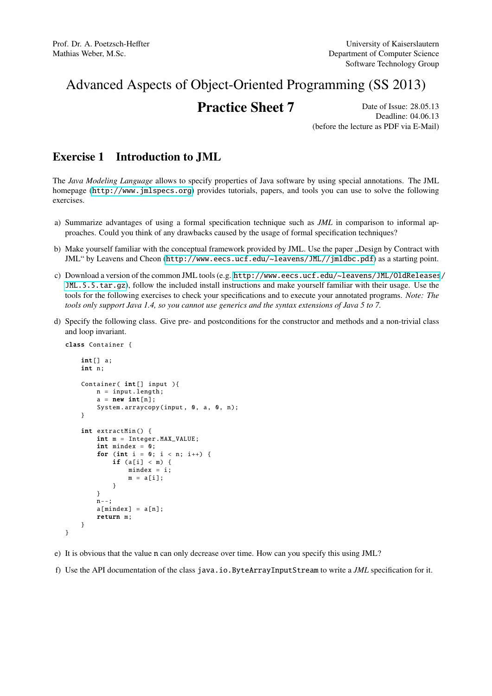## Advanced Aspects of Object-Oriented Programming (SS 2013)

## **Practice Sheet 7** Date of Issue: 28.05.13

Deadline: 04.06.13 (before the lecture as PDF via E-Mail)

## Exercise 1 Introduction to JML

The *Java Modeling Language* allows to specify properties of Java software by using special annotations. The JML homepage (<http://www.jmlspecs.org>) provides tutorials, papers, and tools you can use to solve the following exercises.

- a) Summarize advantages of using a formal specification technique such as *JML* in comparison to informal approaches. Could you think of any drawbacks caused by the usage of formal specification techniques?
- b) Make yourself familiar with the conceptual framework provided by JML. Use the paper "Design by Contract with JML" by Leavens and Cheon (<http://www.eecs.ucf.edu/~leavens/JML//jmldbc.pdf>) as a starting point.
- c) Download a version of the common JML tools (e.g. [http://www.eecs.ucf.edu/~leavens/JML/OldReleases](http://www.eecs.ucf.edu/~leavens/JML/OldReleases/JML.5.5.tar.gz)/ [JML.5.5.tar.gz](http://www.eecs.ucf.edu/~leavens/JML/OldReleases/JML.5.5.tar.gz)), follow the included install instructions and make yourself familiar with their usage. Use the tools for the following exercises to check your specifications and to execute your annotated programs. *Note: The tools only support Java 1.4, so you cannot use generics and the syntax extensions of Java 5 to 7.*
- d) Specify the following class. Give pre- and postconditions for the constructor and methods and a non-trivial class and loop invariant.

```
class Container {
  int[1] a;
  int n;
  Container( int[] input ){
      n = input.length;
      a = new int[n];System. arraycopy (input, 0, a, 0, n);
  }
  int extractMin () {
      int m = Integer. MAX_VALUE ;
      int mindex = 0;
      for (int i = 0; i < n; i++) {
          if (a[i] < m) {
              mindex = i;m = a[i]:
          }
      }
      n - -;
      a[mindex] = a[n];return m;
  }
```
- }
- e) It is obvious that the value n can only decrease over time. How can you specify this using JML?
- f) Use the API documentation of the class java.io.ByteArrayInputStream to write a *JML* specification for it.